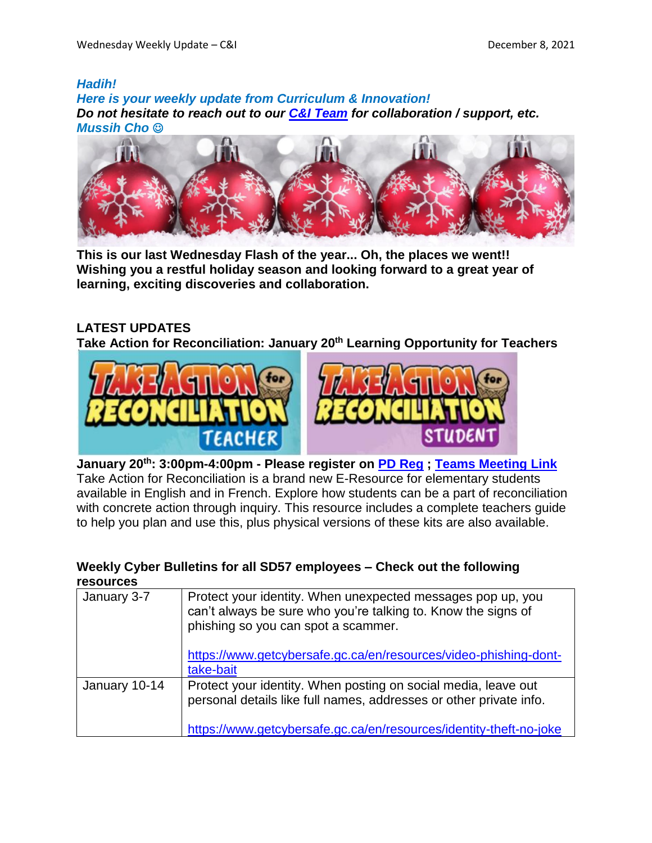#### *Hadih!*

*Here is your weekly update from Curriculum & Innovation! Do not hesitate to reach out to our C&I [Team](https://www.sd57curriculumhub.com/who-are-we) for collaboration / support, etc. Mussih Cho*



**This is our last Wednesday Flash of the year... Oh, the places we went!! Wishing you a restful holiday season and looking forward to a great year of learning, exciting discoveries and collaboration.**

## **LATEST UPDATES**

**Take Action for Reconciliation: January 20th Learning Opportunity for Teachers**



STUDEN **January 20th: 3:00pm-4:00pm - Please register on PD [Reg](https://apps.powerapps.com/play/4eceb8ec-7e63-4ffa-bf7c-35490d32df6b) ; Teams [Meeting](https://teams.microsoft.com/l/meetup-join/19%3ameeting_ODI4NmU3ZjUtODNlOC00YzU4LTg0NDMtOWM1YWI0N2E3MzU4%40thread.v2/0?context=%7b%22Tid%22%3a%225b9667b0-988f-4a70-b078-286faef38924%22%2c%22Oid%22%3a%22402e4210-7927-43e2-b534-bffa7cf3a011%22%7d) Link** Take Action for Reconciliation is a brand new E-Resource for elementary students available in English and in French. Explore how students can be a part of reconciliation with concrete action through inquiry. This resource includes a complete teachers guide

### **Weekly Cyber Bulletins for all SD57 employees – Check out the following resources**

to help you plan and use this, plus physical versions of these kits are also available.

| January 3-7   | Protect your identity. When unexpected messages pop up, you<br>can't always be sure who you're talking to. Know the signs of<br>phishing so you can spot a scammer.<br>https://www.getcybersafe.gc.ca/en/resources/video-phishing-dont-<br>take-bait |
|---------------|------------------------------------------------------------------------------------------------------------------------------------------------------------------------------------------------------------------------------------------------------|
| January 10-14 | Protect your identity. When posting on social media, leave out<br>personal details like full names, addresses or other private info.<br>https://www.getcybersafe.gc.ca/en/resources/identity-theft-no-joke                                           |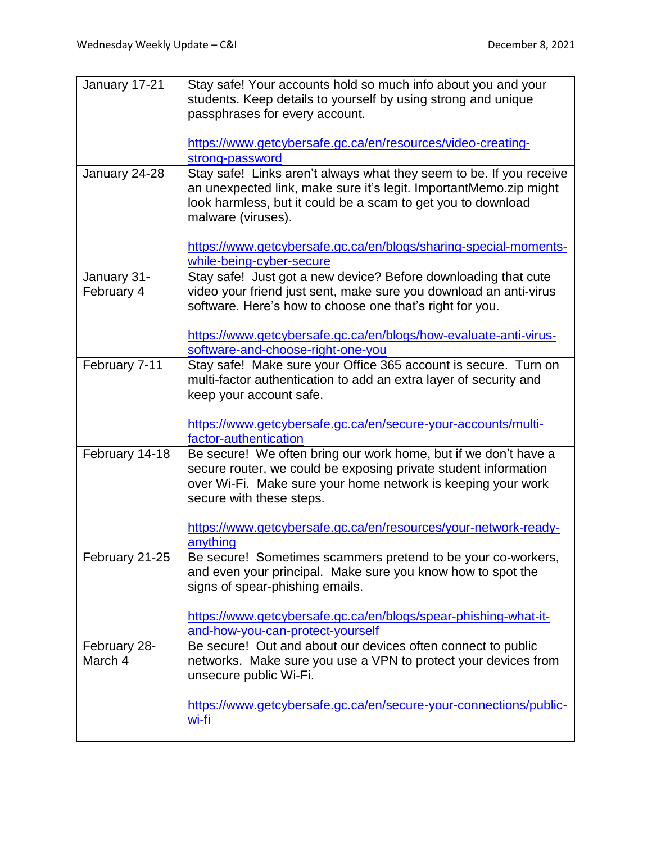| January 17-21  | Stay safe! Your accounts hold so much info about you and your                                   |
|----------------|-------------------------------------------------------------------------------------------------|
|                | students. Keep details to yourself by using strong and unique<br>passphrases for every account. |
|                |                                                                                                 |
|                | https://www.getcybersafe.gc.ca/en/resources/video-creating-                                     |
| January 24-28  | strong-password<br>Stay safe! Links aren't always what they seem to be. If you receive          |
|                | an unexpected link, make sure it's legit. ImportantMemo.zip might                               |
|                | look harmless, but it could be a scam to get you to download                                    |
|                | malware (viruses).                                                                              |
|                |                                                                                                 |
|                | https://www.getcybersafe.gc.ca/en/blogs/sharing-special-moments-<br>while-being-cyber-secure    |
| January 31-    | Stay safe! Just got a new device? Before downloading that cute                                  |
| February 4     | video your friend just sent, make sure you download an anti-virus                               |
|                | software. Here's how to choose one that's right for you.                                        |
|                | https://www.getcybersafe.gc.ca/en/blogs/how-evaluate-anti-virus-                                |
|                | software-and-choose-right-one-you                                                               |
| February 7-11  | Stay safe! Make sure your Office 365 account is secure. Turn on                                 |
|                | multi-factor authentication to add an extra layer of security and                               |
|                | keep your account safe.                                                                         |
|                | https://www.getcybersafe.gc.ca/en/secure-your-accounts/multi-                                   |
|                | factor-authentication                                                                           |
| February 14-18 | Be secure! We often bring our work home, but if we don't have a                                 |
|                | secure router, we could be exposing private student information                                 |
|                | over Wi-Fi. Make sure your home network is keeping your work<br>secure with these steps.        |
|                |                                                                                                 |
|                | https://www.getcybersafe.gc.ca/en/resources/your-network-ready-                                 |
|                | anything                                                                                        |
| February 21-25 | Be secure! Sometimes scammers pretend to be your co-workers,                                    |
|                | and even your principal. Make sure you know how to spot the<br>signs of spear-phishing emails.  |
|                |                                                                                                 |
|                | https://www.getcybersafe.gc.ca/en/blogs/spear-phishing-what-it-                                 |
|                | and-how-you-can-protect-yourself                                                                |
| February 28-   | Be secure! Out and about our devices often connect to public                                    |
| March 4        | networks. Make sure you use a VPN to protect your devices from<br>unsecure public Wi-Fi.        |
|                |                                                                                                 |
|                | https://www.getcybersafe.gc.ca/en/secure-your-connections/public-                               |
|                | wi-fi                                                                                           |
|                |                                                                                                 |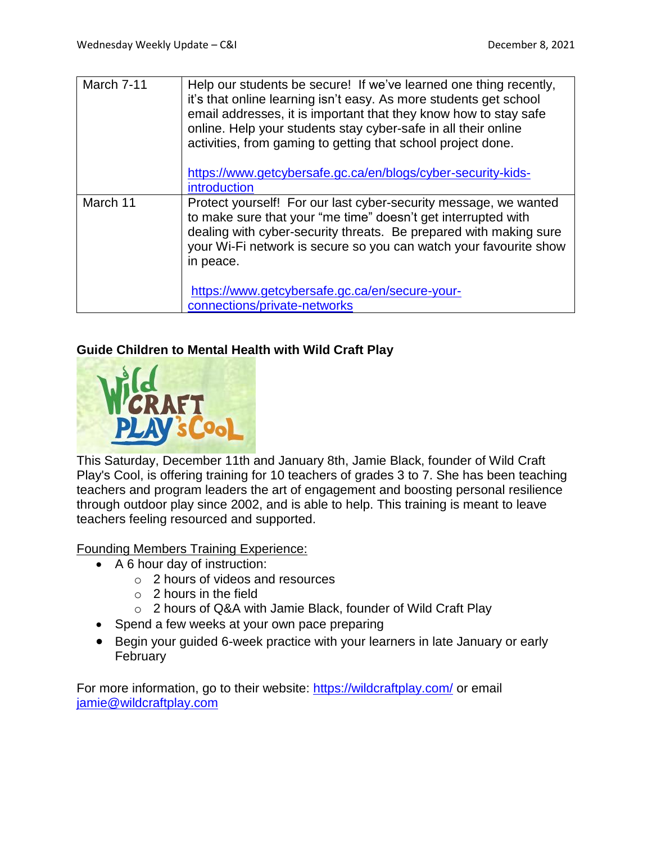| March 7-11 | Help our students be secure! If we've learned one thing recently,<br>it's that online learning isn't easy. As more students get school<br>email addresses, it is important that they know how to stay safe<br>online. Help your students stay cyber-safe in all their online<br>activities, from gaming to getting that school project done.<br>https://www.getcybersafe.gc.ca/en/blogs/cyber-security-kids- |
|------------|--------------------------------------------------------------------------------------------------------------------------------------------------------------------------------------------------------------------------------------------------------------------------------------------------------------------------------------------------------------------------------------------------------------|
|            | introduction                                                                                                                                                                                                                                                                                                                                                                                                 |
| March 11   | Protect yourself! For our last cyber-security message, we wanted<br>to make sure that your "me time" doesn't get interrupted with<br>dealing with cyber-security threats. Be prepared with making sure<br>your Wi-Fi network is secure so you can watch your favourite show<br>in peace.                                                                                                                     |
|            | https://www.getcybersafe.gc.ca/en/secure-your-<br>connections/private-networks                                                                                                                                                                                                                                                                                                                               |

### **Guide Children to Mental Health with Wild Craft Play**



This Saturday, December 11th and January 8th, Jamie Black, founder of Wild Craft Play's Cool, is offering training for 10 teachers of grades 3 to 7. She has been teaching teachers and program leaders the art of engagement and boosting personal resilience through outdoor play since 2002, and is able to help. This training is meant to leave teachers feeling resourced and supported.

Founding Members Training Experience:

- A 6 hour day of instruction:
	- o 2 hours of videos and resources
	- $\circ$  2 hours in the field
	- o 2 hours of Q&A with Jamie Black, founder of Wild Craft Play
- Spend a few weeks at your own pace preparing
- Begin your guided 6-week practice with your learners in late January or early **February**

For more information, go to their website: <https://wildcraftplay.com/> or email [jamie@wildcraftplay.com](mailto:jamie@wildcraftplay.com)